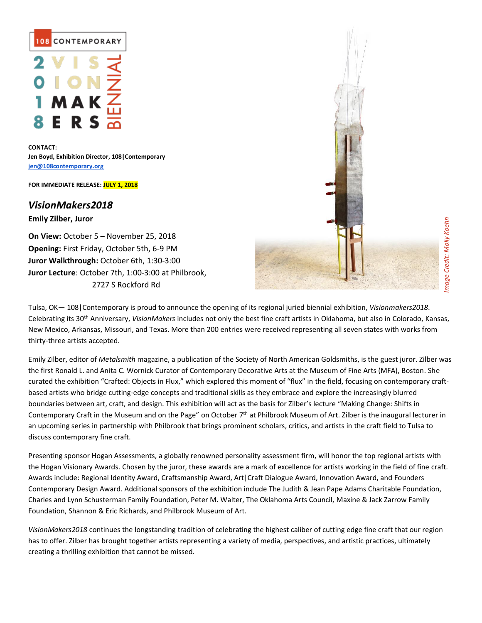

**CONTACT: Jen Boyd, Exhibition Director, 108|Contemporary [jen@108contemporary.org](mailto:jen@108contemporary.org)**

**FOR IMMEDIATE RELEASE: JULY 1, 2018**

*VisionMakers2018*

**Emily Zilber, Juror**

**On View:** October 5 – November 25, 2018 **Opening:** First Friday, October 5th, 6-9 PM **Juror Walkthrough:** October 6th, 1:30-3:00 **Juror Lecture**: October 7th, 1:00-3:00 at Philbrook, 2727 S Rockford Rd



Tulsa, OK— 108|Contemporary is proud to announce the opening of its regional juried biennial exhibition, *Visionmakers2018*. Celebrating its 30th Anniversary, *VisionMakers* includes not only the best fine craft artists in Oklahoma, but also in Colorado, Kansas, New Mexico, Arkansas, Missouri, and Texas. More than 200 entries were received representing all seven states with works from thirty-three artists accepted.

Emily Zilber, editor of *Metalsmith* magazine, a publication of the Society of North American Goldsmiths, is the guest juror. Zilber was the first Ronald L. and Anita C. Wornick Curator of Contemporary Decorative Arts at the Museum of Fine Arts (MFA), Boston. She curated the exhibition "Crafted: Objects in Flux," which explored this moment of "flux" in the field, focusing on contemporary craftbased artists who bridge cutting-edge concepts and traditional skills as they embrace and explore the increasingly blurred boundaries between art, craft, and design. This exhibition will act as the basis for Zilber's lecture "Making Change: Shifts in Contemporary Craft in the Museum and on the Page" on October 7th at Philbrook Museum of Art. Zilber is the inaugural lecturer in an upcoming series in partnership with Philbrook that brings prominent scholars, critics, and artists in the craft field to Tulsa to discuss contemporary fine craft.

Presenting sponsor Hogan Assessments, a globally renowned personality assessment firm, will honor the top regional artists with the Hogan Visionary Awards. Chosen by the juror, these awards are a mark of excellence for artists working in the field of fine craft. Awards include: Regional Identity Award, Craftsmanship Award, Art|Craft Dialogue Award, Innovation Award, and Founders Contemporary Design Award. Additional sponsors of the exhibition include The Judith & Jean Pape Adams Charitable Foundation, Charles and Lynn Schusterman Family Foundation, Peter M. Walter, The Oklahoma Arts Council, Maxine & Jack Zarrow Family Foundation, Shannon & Eric Richards, and Philbrook Museum of Art.

*VisionMakers2018* continues the longstanding tradition of celebrating the highest caliber of cutting edge fine craft that our region has to offer. Zilber has brought together artists representing a variety of media, perspectives, and artistic practices, ultimately creating a thrilling exhibition that cannot be missed.